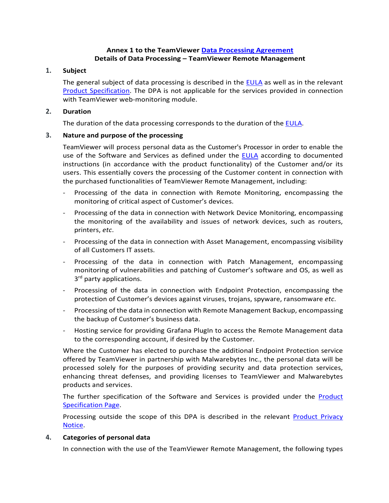## **Annex 1 to the TeamViewer [Data Processing Agreement](https://www.teamviewer.com/en/eula/#dpa) Details of Data Processing – TeamViewer Remote Management**

#### **1. Subject**

The general subject of data processing is described in the **EULA** as well as in the relevant [Product Specification.](https://www.teamviewer.com/en/product-descriptions/) The DPA is not applicable for the services provided in connection with TeamViewer web-monitoring module.

### **2. Duration**

The duration of the data processing corresponds to the duration of the [EULA.](https://www.teamviewer.com/en/eula/)

## **3. Nature and purpose of the processing**

TeamViewer will process personal data as the Customer's Processor in order to enable the use of the Software and Services as defined under the [EULA](https://www.teamviewer.com/en/eula/) according to documented instructions (in accordance with the product functionality) of the Customer and/or its users. This essentially covers the processing of the Customer content in connection with the purchased functionalities of TeamViewer Remote Management, including:

- Processing of the data in connection with Remote Monitoring, encompassing the monitoring of critical aspect of Customer's devices.
- Processing of the data in connection with Network Device Monitoring, encompassing the monitoring of the availability and issues of network devices, such as routers, printers, *etc*.
- Processing of the data in connection with Asset Management, encompassing visibility of all Customers IT assets.
- Processing of the data in connection with Patch Management, encompassing monitoring of vulnerabilities and patching of Customer's software and OS, as well as 3<sup>rd</sup> party applications.
- Processing of the data in connection with Endpoint Protection, encompassing the protection of Customer's devices against viruses, trojans, spyware, ransomware *etc*.
- Processing of the data in connection with Remote Management Backup, encompassing the backup of Customer's business data.
- Hosting service for providing Grafana PlugIn to access the Remote Management data to the corresponding account, if desired by the Customer.

Where the Customer has elected to purchase the additional Endpoint Protection service offered by TeamViewer in partnership with Malwarebytes Inc., the personal data will be processed solely for the purposes of providing security and data protection services, enhancing threat defenses, and providing licenses to TeamViewer and Malwarebytes products and services.

The further specification of the Software and Services is provided under the [Product](https://www.teamviewer.com/en/product-descriptions/)  [Specification Page.](https://www.teamviewer.com/en/product-descriptions/)

Processing outside the scope of this DPA is described in the relevant [Product Privacy](https://www.teamviewer.com/en/privacy-policy/) [Notice.](https://www.teamviewer.com/en/privacy-policy/)

#### **4. Categories of personal data**

In connection with the use of the TeamViewer Remote Management, the following types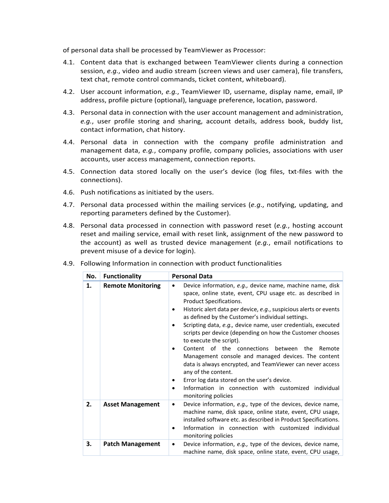of personal data shall be processed by TeamViewer as Processor:

- 4.1. Content data that is exchanged between TeamViewer clients during a connection session, *e.g.*, video and audio stream (screen views and user camera), file transfers, text chat, remote control commands, ticket content, whiteboard).
- 4.2. User account information, *e.g.*, TeamViewer ID, username, display name, email, IP address, profile picture (optional), language preference, location, password.
- 4.3. Personal data in connection with the user account management and administration, *e.g.*, user profile storing and sharing, account details, address book, buddy list, contact information, chat history.
- 4.4. Personal data in connection with the company profile administration and management data, *e.g.*, company profile, company policies, associations with user accounts, user access management, connection reports.
- 4.5. Connection data stored locally on the user's device (log files, txt-files with the connections).
- 4.6. Push notifications as initiated by the users.
- 4.7. Personal data processed within the mailing services (*e.g*., notifying, updating, and reporting parameters defined by the Customer).
- 4.8. Personal data processed in connection with password reset (*e.g.*, hosting account reset and mailing service, email with reset link, assignment of the new password to the account) as well as trusted device management (*e.g.*, email notifications to prevent misuse of a device for login).

| No. | <b>Functionality</b>     | <b>Personal Data</b>                                                                                                                                                                                                                                                                                                                                                                                                                                                                                                                                                                                                                                                                                                                                                                                                        |
|-----|--------------------------|-----------------------------------------------------------------------------------------------------------------------------------------------------------------------------------------------------------------------------------------------------------------------------------------------------------------------------------------------------------------------------------------------------------------------------------------------------------------------------------------------------------------------------------------------------------------------------------------------------------------------------------------------------------------------------------------------------------------------------------------------------------------------------------------------------------------------------|
| 1.  | <b>Remote Monitoring</b> | Device information, e.g., device name, machine name, disk<br>$\bullet$<br>space, online state, event, CPU usage etc. as described in<br>Product Specifications.<br>Historic alert data per device, e.g., suspicious alerts or events<br>٠<br>as defined by the Customer's individual settings.<br>Scripting data, e.g., device name, user credentials, executed<br>$\bullet$<br>scripts per device (depending on how the Customer chooses<br>to execute the script).<br>Content of the connections between<br>the<br>Remote<br>٠<br>Management console and managed devices. The content<br>data is always encrypted, and TeamViewer can never access<br>any of the content.<br>Error log data stored on the user's device.<br>٠<br>Information in connection with customized individual<br>$\bullet$<br>monitoring policies |
| 2.  | <b>Asset Management</b>  | Device information, e.g., type of the devices, device name,<br>٠<br>machine name, disk space, online state, event, CPU usage,<br>installed software etc. as described in Product Specifications.<br>Information in connection with customized individual<br>٠<br>monitoring policies                                                                                                                                                                                                                                                                                                                                                                                                                                                                                                                                        |
| 3.  | <b>Patch Management</b>  | Device information, e.g., type of the devices, device name,<br>٠<br>machine name, disk space, online state, event, CPU usage,                                                                                                                                                                                                                                                                                                                                                                                                                                                                                                                                                                                                                                                                                               |

4.9. Following Information in connection with product functionalities